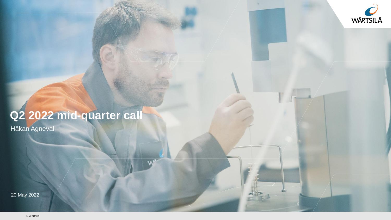

### **Q2 2022 mid-quarter call**

Håkan Agnevall

20 May 2022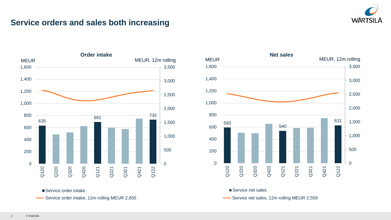

#### **Service orders and sales both increasing**





Service order intake

Service order intake, 12m rolling MEUR 2,655

Service net sales, 12m rolling MEUR 2,559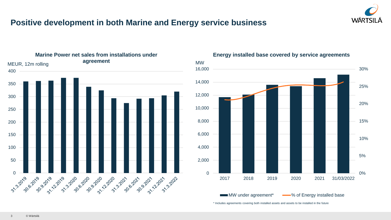

#### **Positive development in both Marine and Energy service business**



#### **Energy installed base covered by service agreements**



\* Includes agreements covering both installed assets and assets to be installed in the future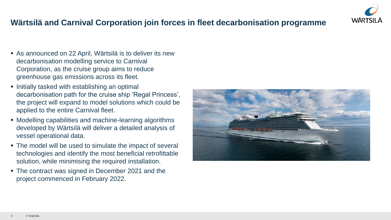### **Wärtsilä and Carnival Corporation join forces in fleet decarbonisation programme**

- As announced on 22 April, Wärtsilä is to deliver its new decarbonisation modelling service to Carnival Corporation, as the cruise group aims to reduce greenhouse gas emissions across its fleet.
- Initially tasked with establishing an optimal decarbonisation path for the cruise ship 'Regal Princess', the project will expand to model solutions which could be applied to the entire Carnival fleet.
- Modelling capabilities and machine-learning algorithms developed by Wärtsilä will deliver a detailed analysis of vessel operational data.
- The model will be used to simulate the impact of several technologies and identify the most beneficial retrofittable solution, while minimising the required installation.
- The contract was signed in December 2021 and the project commenced in February 2022.



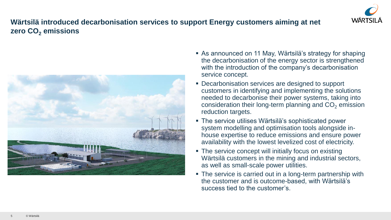

#### **Wärtsilä introduced decarbonisation services to support Energy customers aiming at net zero CO<sup>2</sup> emissions**



- As announced on 11 May, Wärtsilä's strategy for shaping the decarbonisation of the energy sector is strengthened with the introduction of the company's decarbonisation service concept.
- Decarbonisation services are designed to support customers in identifying and implementing the solutions needed to decarbonise their power systems, taking into consideration their long-term planning and  $CO<sub>2</sub>$  emission reduction targets.
- **The service utilises Wärtsilä's sophisticated power** system modelling and optimisation tools alongside inhouse expertise to reduce emissions and ensure power availability with the lowest levelized cost of electricity.
- The service concept will initially focus on existing Wärtsilä customers in the mining and industrial sectors, as well as small-scale power utilities.
- The service is carried out in a long-term partnership with the customer and is outcome-based, with Wärtsilä's success tied to the customer's.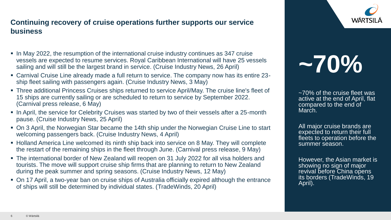## **WÄRTSILA**

#### **Continuing recovery of cruise operations further supports our service business**

- In May 2022, the resumption of the international cruise industry continues as 347 cruise vessels are expected to resume services. Royal Caribbean International will have 25 vessels sailing and will still be the largest brand in service. (Cruise Industry News, 26 April)
- Carnival Cruise Line already made a full return to service. The company now has its entire 23 ship fleet sailing with passengers again. (Cruise Industry News, 3 May)
- Three additional Princess Cruises ships returned to service April/May. The cruise line's fleet of 15 ships are currently sailing or are scheduled to return to service by September 2022. (Carnival press release, 6 May)
- In April, the service for Celebrity Cruises was started by two of their vessels after a 25-month pause. (Cruise Industry News, 25 April)
- On 3 April, the Norwegian Star became the 14th ship under the Norwegian Cruise Line to start welcoming passengers back. (Cruise Industry News, 4 April)
- Holland America Line welcomed its ninth ship back into service on 8 May. They will complete the restart of the remaining ships in the fleet through June. (Carnival press release, 9 May)
- **.** The international border of New Zealand will reopen on 31 July 2022 for all visa holders and tourists. The move will support cruise ship firms that are planning to return to New Zealand during the peak summer and spring seasons. (Cruise Industry News, 12 May)
- On 17 April, a two-year ban on cruise ships of Australia officially expired although the entrance of ships will still be determined by individual states. (TradeWinds, 20 April)

# **~70%**

~70% of the cruise fleet was active at the end of April, flat compared to the end of March.

All major cruise brands are expected to return their full fleets to operation before the summer season.

However, the Asian market is showing no sign of major revival before China opens its borders (TradeWinds, 19 April).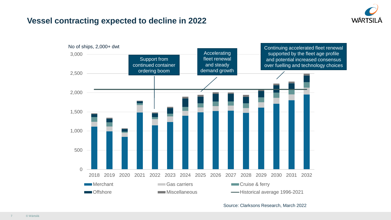

#### **Vessel contracting expected to decline in 2022**



Source: Clarksons Research, March 2022